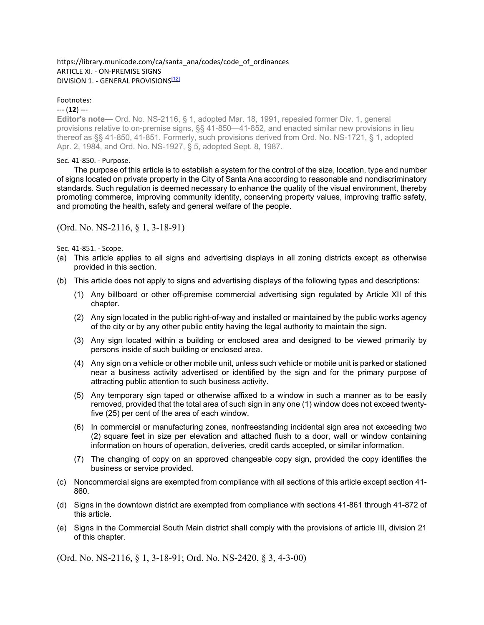### https://library.municode.com/ca/santa\_ana/codes/code\_of\_ordinances ARTICLE XI. - ON-PREMISE SIGNS DIVISION 1. - GENERAL PROVISIONS<sup>[12]</sup>

## Footnotes:

## --- (**12**) ---

**Editor's note—** Ord. No. NS-2116, § 1, adopted Mar. 18, 1991, repealed former Div. 1, general provisions relative to on-premise signs, §§ 41-850—41-852, and enacted similar new provisions in lieu thereof as §§ 41-850, 41-851. Formerly, such provisions derived from Ord. No. NS-1721, § 1, adopted Apr. 2, 1984, and Ord. No. NS-1927, § 5, adopted Sept. 8, 1987.

## Sec. 41-850. - Purpose.

The purpose of this article is to establish a system for the control of the size, location, type and number of signs located on private property in the City of Santa Ana according to reasonable and nondiscriminatory standards. Such regulation is deemed necessary to enhance the quality of the visual environment, thereby promoting commerce, improving community identity, conserving property values, improving traffic safety, and promoting the health, safety and general welfare of the people.

# (Ord. No. NS-2116, § 1, 3-18-91)

Sec. 41-851. - Scope.

- (a) This article applies to all signs and advertising displays in all zoning districts except as otherwise provided in this section.
- (b) This article does not apply to signs and advertising displays of the following types and descriptions:
	- (1) Any billboard or other off-premise commercial advertising sign regulated by Article XII of this chapter.
	- (2) Any sign located in the public right-of-way and installed or maintained by the public works agency of the city or by any other public entity having the legal authority to maintain the sign.
	- (3) Any sign located within a building or enclosed area and designed to be viewed primarily by persons inside of such building or enclosed area.
	- (4) Any sign on a vehicle or other mobile unit, unless such vehicle or mobile unit is parked or stationed near a business activity advertised or identified by the sign and for the primary purpose of attracting public attention to such business activity.
	- (5) Any temporary sign taped or otherwise affixed to a window in such a manner as to be easily removed, provided that the total area of such sign in any one (1) window does not exceed twentyfive (25) per cent of the area of each window.
	- (6) In commercial or manufacturing zones, nonfreestanding incidental sign area not exceeding two (2) square feet in size per elevation and attached flush to a door, wall or window containing information on hours of operation, deliveries, credit cards accepted, or similar information.
	- (7) The changing of copy on an approved changeable copy sign, provided the copy identifies the business or service provided.
- (c) Noncommercial signs are exempted from compliance with all sections of this article except section 41- 860.
- (d) Signs in the downtown district are exempted from compliance with sections 41-861 through 41-872 of this article.
- (e) Signs in the Commercial South Main district shall comply with the provisions of article III, division 21 of this chapter.

(Ord. No. NS-2116, § 1, 3-18-91; Ord. No. NS-2420, § 3, 4-3-00)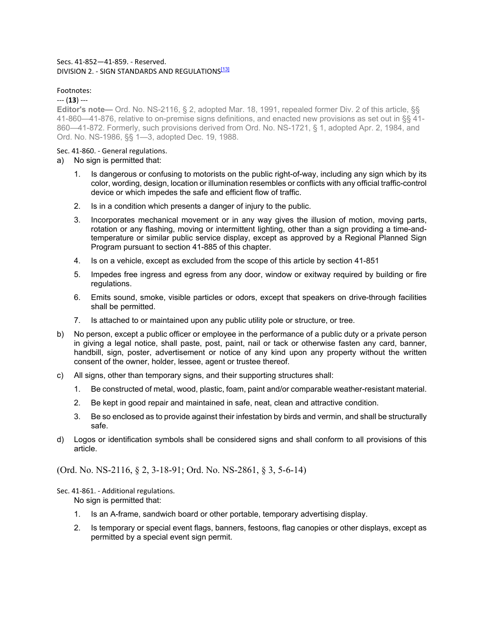## Secs. 41-852—41-859. - Reserved. DIVISION 2. - SIGN STANDARDS AND REGULATIONS<sup>[13]</sup>

## Footnotes:

### --- (**13**) ---

**Editor's note—** Ord. No. NS-2116, § 2, adopted Mar. 18, 1991, repealed former Div. 2 of this article, §§ 41-860—41-876, relative to on-premise signs definitions, and enacted new provisions as set out in §§ 41- 860—41-872. Formerly, such provisions derived from Ord. No. NS-1721, § 1, adopted Apr. 2, 1984, and Ord. No. NS-1986, §§ 1—3, adopted Dec. 19, 1988.

## Sec. 41-860. - General regulations.

- a) No sign is permitted that:
	- 1. Is dangerous or confusing to motorists on the public right-of-way, including any sign which by its color, wording, design, location or illumination resembles or conflicts with any official traffic-control device or which impedes the safe and efficient flow of traffic.
	- 2. Is in a condition which presents a danger of injury to the public.
	- 3. Incorporates mechanical movement or in any way gives the illusion of motion, moving parts, rotation or any flashing, moving or intermittent lighting, other than a sign providing a time-andtemperature or similar public service display, except as approved by a Regional Planned Sign Program pursuant to section 41-885 of this chapter.
	- 4. Is on a vehicle, except as excluded from the scope of this article by section 41-851
	- 5. Impedes free ingress and egress from any door, window or exitway required by building or fire regulations.
	- 6. Emits sound, smoke, visible particles or odors, except that speakers on drive-through facilities shall be permitted.
	- 7. Is attached to or maintained upon any public utility pole or structure, or tree.
- b) No person, except a public officer or employee in the performance of a public duty or a private person in giving a legal notice, shall paste, post, paint, nail or tack or otherwise fasten any card, banner, handbill, sign, poster, advertisement or notice of any kind upon any property without the written consent of the owner, holder, lessee, agent or trustee thereof.
- c) All signs, other than temporary signs, and their supporting structures shall:
	- 1. Be constructed of metal, wood, plastic, foam, paint and/or comparable weather-resistant material.
	- 2. Be kept in good repair and maintained in safe, neat, clean and attractive condition.
	- 3. Be so enclosed as to provide against their infestation by birds and vermin, and shall be structurally safe.
- d) Logos or identification symbols shall be considered signs and shall conform to all provisions of this article.

# (Ord. No. NS-2116, § 2, 3-18-91; Ord. No. NS-2861, § 3, 5-6-14)

### Sec. 41-861. - Additional regulations. No sign is permitted that:

- 1. Is an A-frame, sandwich board or other portable, temporary advertising display.
- 2. Is temporary or special event flags, banners, festoons, flag canopies or other displays, except as permitted by a special event sign permit.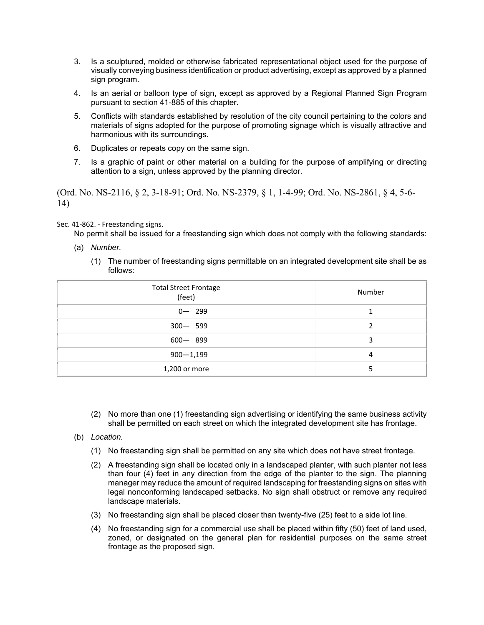- 3. Is a sculptured, molded or otherwise fabricated representational object used for the purpose of visually conveying business identification or product advertising, except as approved by a planned sign program.
- 4. Is an aerial or balloon type of sign, except as approved by a Regional Planned Sign Program pursuant to section 41-885 of this chapter.
- 5. Conflicts with standards established by resolution of the city council pertaining to the colors and materials of signs adopted for the purpose of promoting signage which is visually attractive and harmonious with its surroundings.
- 6. Duplicates or repeats copy on the same sign.
- 7. Is a graphic of paint or other material on a building for the purpose of amplifying or directing attention to a sign, unless approved by the planning director.

(Ord. No. NS-2116, § 2, 3-18-91; Ord. No. NS-2379, § 1, 1-4-99; Ord. No. NS-2861, § 4, 5-6- 14)

## Sec. 41-862. - Freestanding signs.

No permit shall be issued for a freestanding sign which does not comply with the following standards:

- (a) *Number.*
	- (1) The number of freestanding signs permittable on an integrated development site shall be as follows:

| <b>Total Street Frontage</b><br>(feet) | Number |
|----------------------------------------|--------|
| $0 - 299$                              |        |
| $300 - 599$                            |        |
| $600 - 899$                            |        |
| $900 - 1,199$                          |        |
| 1,200 or more                          |        |

- (2) No more than one (1) freestanding sign advertising or identifying the same business activity shall be permitted on each street on which the integrated development site has frontage.
- (b) *Location.*
	- (1) No freestanding sign shall be permitted on any site which does not have street frontage.
	- (2) A freestanding sign shall be located only in a landscaped planter, with such planter not less than four (4) feet in any direction from the edge of the planter to the sign. The planning manager may reduce the amount of required landscaping for freestanding signs on sites with legal nonconforming landscaped setbacks. No sign shall obstruct or remove any required landscape materials.
	- (3) No freestanding sign shall be placed closer than twenty-five (25) feet to a side lot line.
	- (4) No freestanding sign for a commercial use shall be placed within fifty (50) feet of land used, zoned, or designated on the general plan for residential purposes on the same street frontage as the proposed sign.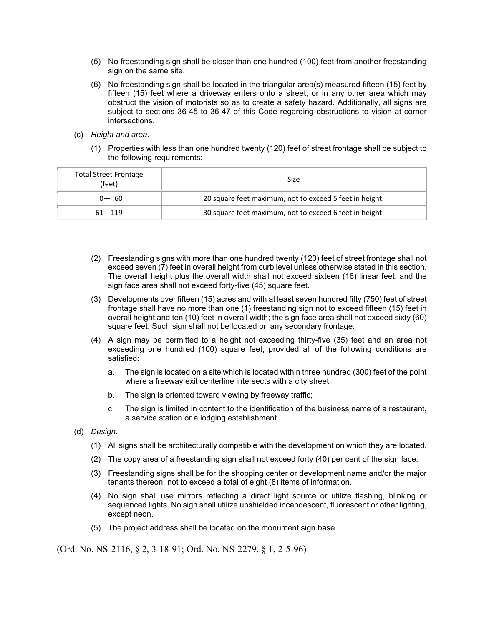- (5) No freestanding sign shall be closer than one hundred (100) feet from another freestanding sign on the same site.
- (6) No freestanding sign shall be located in the triangular area(s) measured fifteen (15) feet by fifteen (15) feet where a driveway enters onto a street, or in any other area which may obstruct the vision of motorists so as to create a safety hazard. Additionally, all signs are subject to sections 36-45 to 36-47 of this Code regarding obstructions to vision at corner intersections.
- (c) *Height and area.*
	- (1) Properties with less than one hundred twenty (120) feet of street frontage shall be subject to the following requirements:

| <b>Total Street Frontage</b><br>(feet) | Size                                                    |
|----------------------------------------|---------------------------------------------------------|
| $0 - 60$                               | 20 square feet maximum, not to exceed 5 feet in height. |
| $61 - 119$                             | 30 square feet maximum, not to exceed 6 feet in height. |

- (2) Freestanding signs with more than one hundred twenty (120) feet of street frontage shall not exceed seven (7) feet in overall height from curb level unless otherwise stated in this section. The overall height plus the overall width shall not exceed sixteen (16) linear feet, and the sign face area shall not exceed forty-five (45) square feet.
- (3) Developments over fifteen (15) acres and with at least seven hundred fifty (750) feet of street frontage shall have no more than one (1) freestanding sign not to exceed fifteen (15) feet in overall height and ten (10) feet in overall width; the sign face area shall not exceed sixty (60) square feet. Such sign shall not be located on any secondary frontage.
- (4) A sign may be permitted to a height not exceeding thirty-five (35) feet and an area not exceeding one hundred (100) square feet, provided all of the following conditions are satisfied:
	- a. The sign is located on a site which is located within three hundred (300) feet of the point where a freeway exit centerline intersects with a city street;
	- b. The sign is oriented toward viewing by freeway traffic;
	- c. The sign is limited in content to the identification of the business name of a restaurant, a service station or a lodging establishment.
- (d) *Design.*
	- (1) All signs shall be architecturally compatible with the development on which they are located.
	- (2) The copy area of a freestanding sign shall not exceed forty (40) per cent of the sign face.
	- (3) Freestanding signs shall be for the shopping center or development name and/or the major tenants thereon, not to exceed a total of eight (8) items of information.
	- (4) No sign shall use mirrors reflecting a direct light source or utilize flashing, blinking or sequenced lights. No sign shall utilize unshielded incandescent, fluorescent or other lighting, except neon.
	- (5) The project address shall be located on the monument sign base.

(Ord. No. NS-2116, § 2, 3-18-91; Ord. No. NS-2279, § 1, 2-5-96)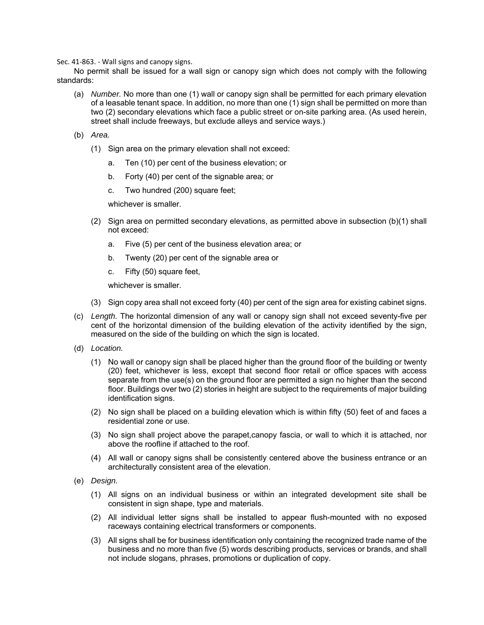Sec. 41-863. - Wall signs and canopy signs.

No permit shall be issued for a wall sign or canopy sign which does not comply with the following standards:

- (a) *Number.* No more than one (1) wall or canopy sign shall be permitted for each primary elevation of a leasable tenant space. In addition, no more than one (1) sign shall be permitted on more than two (2) secondary elevations which face a public street or on-site parking area. (As used herein, street shall include freeways, but exclude alleys and service ways.)
- (b) *Area.*
	- (1) Sign area on the primary elevation shall not exceed:
		- a. Ten (10) per cent of the business elevation; or
		- b. Forty (40) per cent of the signable area; or
		- c. Two hundred (200) square feet;

whichever is smaller.

- (2) Sign area on permitted secondary elevations, as permitted above in subsection (b)(1) shall not exceed:
	- a. Five (5) per cent of the business elevation area; or
	- b. Twenty (20) per cent of the signable area or
	- c. Fifty (50) square feet,

whichever is smaller.

- (3) Sign copy area shall not exceed forty (40) per cent of the sign area for existing cabinet signs.
- (c) *Length.* The horizontal dimension of any wall or canopy sign shall not exceed seventy-five per cent of the horizontal dimension of the building elevation of the activity identified by the sign, measured on the side of the building on which the sign is located.
- (d) *Location.*
	- (1) No wall or canopy sign shall be placed higher than the ground floor of the building or twenty (20) feet, whichever is less, except that second floor retail or office spaces with access separate from the use(s) on the ground floor are permitted a sign no higher than the second floor. Buildings over two (2) stories in height are subject to the requirements of major building identification signs.
	- (2) No sign shall be placed on a building elevation which is within fifty (50) feet of and faces a residential zone or use.
	- (3) No sign shall project above the parapet,canopy fascia, or wall to which it is attached, nor above the roofline if attached to the roof.
	- (4) All wall or canopy signs shall be consistently centered above the business entrance or an architecturally consistent area of the elevation.
- (e) *Design.*
	- (1) All signs on an individual business or within an integrated development site shall be consistent in sign shape, type and materials.
	- (2) All individual letter signs shall be installed to appear flush-mounted with no exposed raceways containing electrical transformers or components.
	- (3) All signs shall be for business identification only containing the recognized trade name of the business and no more than five (5) words describing products, services or brands, and shall not include slogans, phrases, promotions or duplication of copy.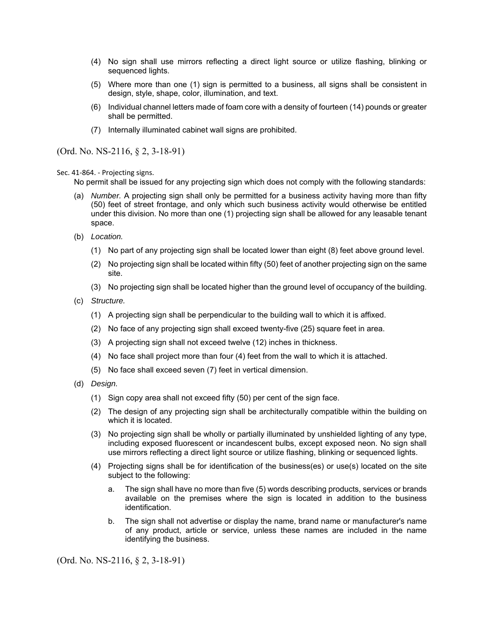- (4) No sign shall use mirrors reflecting a direct light source or utilize flashing, blinking or sequenced lights.
- (5) Where more than one (1) sign is permitted to a business, all signs shall be consistent in design, style, shape, color, illumination, and text.
- (6) Individual channel letters made of foam core with a density of fourteen (14) pounds or greater shall be permitted.
- (7) Internally illuminated cabinet wall signs are prohibited.

(Ord. No. NS-2116, § 2, 3-18-91)

Sec. 41-864. - Projecting signs.

No permit shall be issued for any projecting sign which does not comply with the following standards:

- (a) *Number.* A projecting sign shall only be permitted for a business activity having more than fifty (50) feet of street frontage, and only which such business activity would otherwise be entitled under this division. No more than one (1) projecting sign shall be allowed for any leasable tenant space.
- (b) *Location.*
	- (1) No part of any projecting sign shall be located lower than eight (8) feet above ground level.
	- (2) No projecting sign shall be located within fifty (50) feet of another projecting sign on the same site.
	- (3) No projecting sign shall be located higher than the ground level of occupancy of the building.
- (c) *Structure.*
	- (1) A projecting sign shall be perpendicular to the building wall to which it is affixed.
	- (2) No face of any projecting sign shall exceed twenty-five (25) square feet in area.
	- (3) A projecting sign shall not exceed twelve (12) inches in thickness.
	- (4) No face shall project more than four (4) feet from the wall to which it is attached.
	- (5) No face shall exceed seven (7) feet in vertical dimension.
- (d) *Design.*
	- (1) Sign copy area shall not exceed fifty (50) per cent of the sign face.
	- (2) The design of any projecting sign shall be architecturally compatible within the building on which it is located.
	- (3) No projecting sign shall be wholly or partially illuminated by unshielded lighting of any type, including exposed fluorescent or incandescent bulbs, except exposed neon. No sign shall use mirrors reflecting a direct light source or utilize flashing, blinking or sequenced lights.
	- (4) Projecting signs shall be for identification of the business(es) or use(s) located on the site subject to the following:
		- a. The sign shall have no more than five (5) words describing products, services or brands available on the premises where the sign is located in addition to the business identification.
		- b. The sign shall not advertise or display the name, brand name or manufacturer's name of any product, article or service, unless these names are included in the name identifying the business.

(Ord. No. NS-2116, § 2, 3-18-91)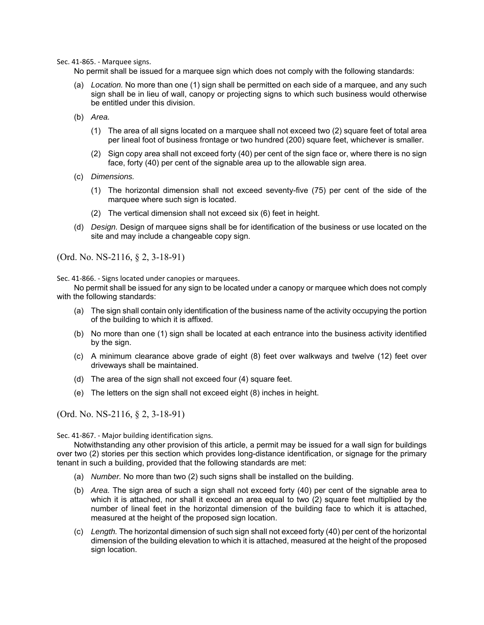Sec. 41-865. - Marquee signs.

No permit shall be issued for a marquee sign which does not comply with the following standards:

- (a) *Location.* No more than one (1) sign shall be permitted on each side of a marquee, and any such sign shall be in lieu of wall, canopy or projecting signs to which such business would otherwise be entitled under this division.
- (b) *Area.*
	- (1) The area of all signs located on a marquee shall not exceed two (2) square feet of total area per lineal foot of business frontage or two hundred (200) square feet, whichever is smaller.
	- (2) Sign copy area shall not exceed forty (40) per cent of the sign face or, where there is no sign face, forty (40) per cent of the signable area up to the allowable sign area.
- (c) *Dimensions.*
	- (1) The horizontal dimension shall not exceed seventy-five (75) per cent of the side of the marquee where such sign is located.
	- (2) The vertical dimension shall not exceed six (6) feet in height.
- (d) *Design.* Design of marquee signs shall be for identification of the business or use located on the site and may include a changeable copy sign.

(Ord. No. NS-2116, § 2, 3-18-91)

Sec. 41-866. - Signs located under canopies or marquees.

No permit shall be issued for any sign to be located under a canopy or marquee which does not comply with the following standards:

- (a) The sign shall contain only identification of the business name of the activity occupying the portion of the building to which it is affixed.
- (b) No more than one (1) sign shall be located at each entrance into the business activity identified by the sign.
- (c) A minimum clearance above grade of eight (8) feet over walkways and twelve (12) feet over driveways shall be maintained.
- (d) The area of the sign shall not exceed four (4) square feet.
- (e) The letters on the sign shall not exceed eight (8) inches in height.

(Ord. No. NS-2116, § 2, 3-18-91)

Sec. 41-867. - Major building identification signs.

Notwithstanding any other provision of this article, a permit may be issued for a wall sign for buildings over two (2) stories per this section which provides long-distance identification, or signage for the primary tenant in such a building, provided that the following standards are met:

- (a) *Number.* No more than two (2) such signs shall be installed on the building.
- (b) *Area.* The sign area of such a sign shall not exceed forty (40) per cent of the signable area to which it is attached, nor shall it exceed an area equal to two (2) square feet multiplied by the number of lineal feet in the horizontal dimension of the building face to which it is attached, measured at the height of the proposed sign location.
- (c) *Length.* The horizontal dimension of such sign shall not exceed forty (40) per cent of the horizontal dimension of the building elevation to which it is attached, measured at the height of the proposed sign location.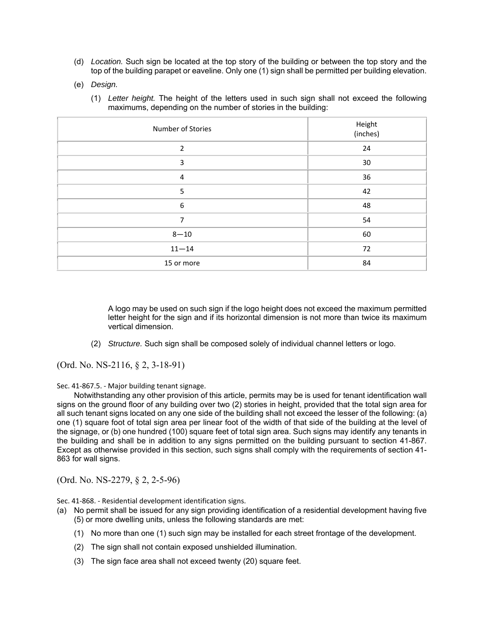- (d) *Location.* Such sign be located at the top story of the building or between the top story and the top of the building parapet or eaveline. Only one (1) sign shall be permitted per building elevation.
- (e) *Design.*
	- (1) *Letter height.* The height of the letters used in such sign shall not exceed the following maximums, depending on the number of stories in the building:

| Number of Stories | Height<br>(inches) |
|-------------------|--------------------|
| $\overline{2}$    | 24                 |
| 3                 | 30                 |
| 4                 | 36                 |
| 5                 | 42                 |
| 6                 | 48                 |
| 7                 | 54                 |
| $8 - 10$          | 60                 |
| $11 - 14$         | 72                 |
| 15 or more        | 84                 |

A logo may be used on such sign if the logo height does not exceed the maximum permitted letter height for the sign and if its horizontal dimension is not more than twice its maximum vertical dimension.

(2) *Structure.* Such sign shall be composed solely of individual channel letters or logo.

(Ord. No. NS-2116, § 2, 3-18-91)

Sec. 41-867.5. - Major building tenant signage.

Notwithstanding any other provision of this article, permits may be is used for tenant identification wall signs on the ground floor of any building over two (2) stories in height, provided that the total sign area for all such tenant signs located on any one side of the building shall not exceed the lesser of the following: (a) one (1) square foot of total sign area per linear foot of the width of that side of the building at the level of the signage, or (b) one hundred (100) square feet of total sign area. Such signs may identify any tenants in the building and shall be in addition to any signs permitted on the building pursuant to section 41-867. Except as otherwise provided in this section, such signs shall comply with the requirements of section 41- 863 for wall signs.

(Ord. No. NS-2279, § 2, 2-5-96)

Sec. 41-868. - Residential development identification signs.

- (a) No permit shall be issued for any sign providing identification of a residential development having five (5) or more dwelling units, unless the following standards are met:
	- (1) No more than one (1) such sign may be installed for each street frontage of the development.
	- (2) The sign shall not contain exposed unshielded illumination.
	- (3) The sign face area shall not exceed twenty (20) square feet.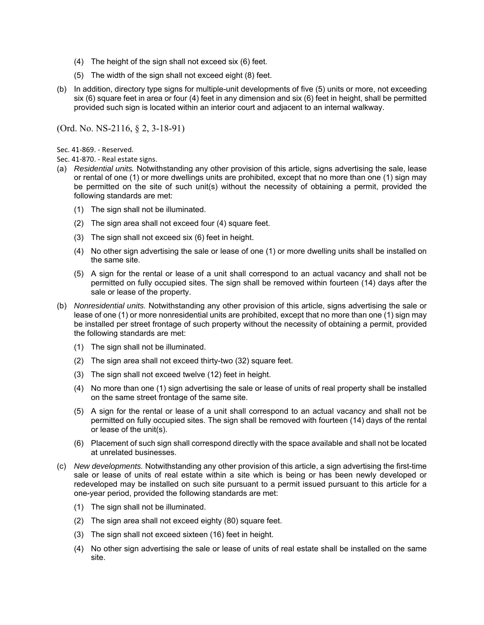- (4) The height of the sign shall not exceed six (6) feet.
- (5) The width of the sign shall not exceed eight (8) feet.
- (b) In addition, directory type signs for multiple-unit developments of five (5) units or more, not exceeding six (6) square feet in area or four (4) feet in any dimension and six (6) feet in height, shall be permitted provided such sign is located within an interior court and adjacent to an internal walkway.

(Ord. No. NS-2116, § 2, 3-18-91)

Sec. 41-869. - Reserved.

Sec. 41-870. - Real estate signs.

- (a) *Residential units.* Notwithstanding any other provision of this article, signs advertising the sale, lease or rental of one (1) or more dwellings units are prohibited, except that no more than one (1) sign may be permitted on the site of such unit(s) without the necessity of obtaining a permit, provided the following standards are met:
	- (1) The sign shall not be illuminated.
	- (2) The sign area shall not exceed four (4) square feet.
	- (3) The sign shall not exceed six (6) feet in height.
	- (4) No other sign advertising the sale or lease of one (1) or more dwelling units shall be installed on the same site.
	- (5) A sign for the rental or lease of a unit shall correspond to an actual vacancy and shall not be permitted on fully occupied sites. The sign shall be removed within fourteen (14) days after the sale or lease of the property.
- (b) *Nonresidential units.* Notwithstanding any other provision of this article, signs advertising the sale or lease of one (1) or more nonresidential units are prohibited, except that no more than one (1) sign may be installed per street frontage of such property without the necessity of obtaining a permit, provided the following standards are met:
	- (1) The sign shall not be illuminated.
	- (2) The sign area shall not exceed thirty-two (32) square feet.
	- (3) The sign shall not exceed twelve (12) feet in height.
	- (4) No more than one (1) sign advertising the sale or lease of units of real property shall be installed on the same street frontage of the same site.
	- (5) A sign for the rental or lease of a unit shall correspond to an actual vacancy and shall not be permitted on fully occupied sites. The sign shall be removed with fourteen (14) days of the rental or lease of the unit(s).
	- (6) Placement of such sign shall correspond directly with the space available and shall not be located at unrelated businesses.
- (c) *New developments.* Notwithstanding any other provision of this article, a sign advertising the first-time sale or lease of units of real estate within a site which is being or has been newly developed or redeveloped may be installed on such site pursuant to a permit issued pursuant to this article for a one-year period, provided the following standards are met:
	- (1) The sign shall not be illuminated.
	- (2) The sign area shall not exceed eighty (80) square feet.
	- (3) The sign shall not exceed sixteen (16) feet in height.
	- (4) No other sign advertising the sale or lease of units of real estate shall be installed on the same site.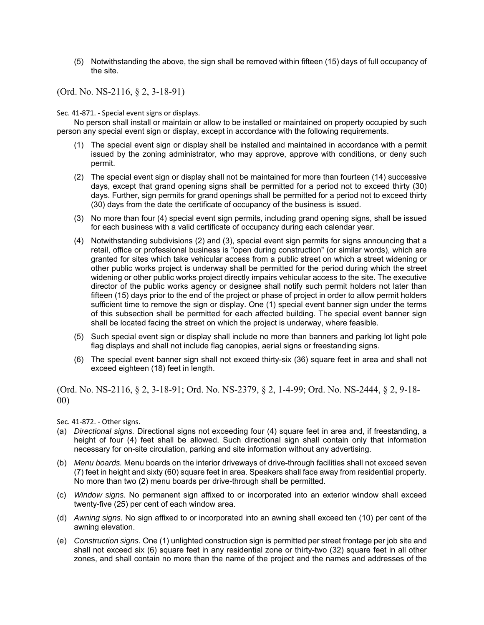(5) Notwithstanding the above, the sign shall be removed within fifteen (15) days of full occupancy of the site.

(Ord. No. NS-2116, § 2, 3-18-91)

Sec. 41-871. - Special event signs or displays.

No person shall install or maintain or allow to be installed or maintained on property occupied by such person any special event sign or display, except in accordance with the following requirements.

- (1) The special event sign or display shall be installed and maintained in accordance with a permit issued by the zoning administrator, who may approve, approve with conditions, or deny such permit.
- (2) The special event sign or display shall not be maintained for more than fourteen (14) successive days, except that grand opening signs shall be permitted for a period not to exceed thirty (30) days. Further, sign permits for grand openings shall be permitted for a period not to exceed thirty (30) days from the date the certificate of occupancy of the business is issued.
- (3) No more than four (4) special event sign permits, including grand opening signs, shall be issued for each business with a valid certificate of occupancy during each calendar year.
- (4) Notwithstanding subdivisions (2) and (3), special event sign permits for signs announcing that a retail, office or professional business is "open during construction" (or similar words), which are granted for sites which take vehicular access from a public street on which a street widening or other public works project is underway shall be permitted for the period during which the street widening or other public works project directly impairs vehicular access to the site. The executive director of the public works agency or designee shall notify such permit holders not later than fifteen (15) days prior to the end of the project or phase of project in order to allow permit holders sufficient time to remove the sign or display. One (1) special event banner sign under the terms of this subsection shall be permitted for each affected building. The special event banner sign shall be located facing the street on which the project is underway, where feasible.
- (5) Such special event sign or display shall include no more than banners and parking lot light pole flag displays and shall not include flag canopies, aerial signs or freestanding signs.
- (6) The special event banner sign shall not exceed thirty-six (36) square feet in area and shall not exceed eighteen (18) feet in length.

(Ord. No. NS-2116, § 2, 3-18-91; Ord. No. NS-2379, § 2, 1-4-99; Ord. No. NS-2444, § 2, 9-18- 00)

Sec. 41-872. - Other signs.

- (a) *Directional signs.* Directional signs not exceeding four (4) square feet in area and, if freestanding, a height of four (4) feet shall be allowed. Such directional sign shall contain only that information necessary for on-site circulation, parking and site information without any advertising.
- (b) *Menu boards.* Menu boards on the interior driveways of drive-through facilities shall not exceed seven (7) feet in height and sixty (60) square feet in area. Speakers shall face away from residential property. No more than two (2) menu boards per drive-through shall be permitted.
- (c) *Window signs.* No permanent sign affixed to or incorporated into an exterior window shall exceed twenty-five (25) per cent of each window area.
- (d) *Awning signs.* No sign affixed to or incorporated into an awning shall exceed ten (10) per cent of the awning elevation.
- (e) *Construction signs.* One (1) unlighted construction sign is permitted per street frontage per job site and shall not exceed six (6) square feet in any residential zone or thirty-two (32) square feet in all other zones, and shall contain no more than the name of the project and the names and addresses of the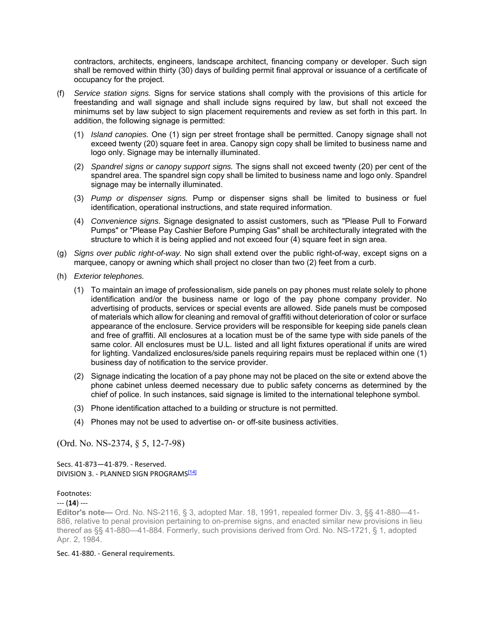contractors, architects, engineers, landscape architect, financing company or developer. Such sign shall be removed within thirty (30) days of building permit final approval or issuance of a certificate of occupancy for the project.

- (f) *Service station signs.* Signs for service stations shall comply with the provisions of this article for freestanding and wall signage and shall include signs required by law, but shall not exceed the minimums set by law subject to sign placement requirements and review as set forth in this part. In addition, the following signage is permitted:
	- (1) *Island canopies.* One (1) sign per street frontage shall be permitted. Canopy signage shall not exceed twenty (20) square feet in area. Canopy sign copy shall be limited to business name and logo only. Signage may be internally illuminated.
	- (2) *Spandrel signs or canopy support signs.* The signs shall not exceed twenty (20) per cent of the spandrel area. The spandrel sign copy shall be limited to business name and logo only. Spandrel signage may be internally illuminated.
	- (3) *Pump or dispenser signs.* Pump or dispenser signs shall be limited to business or fuel identification, operational instructions, and state required information.
	- (4) *Convenience signs.* Signage designated to assist customers, such as "Please Pull to Forward Pumps" or "Please Pay Cashier Before Pumping Gas" shall be architecturally integrated with the structure to which it is being applied and not exceed four (4) square feet in sign area.
- (g) *Signs over public right-of-way.* No sign shall extend over the public right-of-way, except signs on a marquee, canopy or awning which shall project no closer than two (2) feet from a curb.
- (h) *Exterior telephones.*
	- (1) To maintain an image of professionalism, side panels on pay phones must relate solely to phone identification and/or the business name or logo of the pay phone company provider. No advertising of products, services or special events are allowed. Side panels must be composed of materials which allow for cleaning and removal of graffiti without deterioration of color or surface appearance of the enclosure. Service providers will be responsible for keeping side panels clean and free of graffiti. All enclosures at a location must be of the same type with side panels of the same color. All enclosures must be U.L. listed and all light fixtures operational if units are wired for lighting. Vandalized enclosures/side panels requiring repairs must be replaced within one (1) business day of notification to the service provider.
	- (2) Signage indicating the location of a pay phone may not be placed on the site or extend above the phone cabinet unless deemed necessary due to public safety concerns as determined by the chief of police. In such instances, said signage is limited to the international telephone symbol.
	- (3) Phone identification attached to a building or structure is not permitted.
	- (4) Phones may not be used to advertise on- or off-site business activities.

(Ord. No. NS-2374, § 5, 12-7-98)

Secs. 41-873—41-879. - Reserved. DIVISION 3. - PLANNED SIGN PROGRAMS<sup>[14]</sup>

### Footnotes:

--- (**14**) ---

**Editor's note—** Ord. No. NS-2116, § 3, adopted Mar. 18, 1991, repealed former Div. 3, §§ 41-880—41- 886, relative to penal provision pertaining to on-premise signs, and enacted similar new provisions in lieu thereof as §§ 41-880—41-884. Formerly, such provisions derived from Ord. No. NS-1721, § 1, adopted Apr. 2, 1984.

### Sec. 41-880. - General requirements.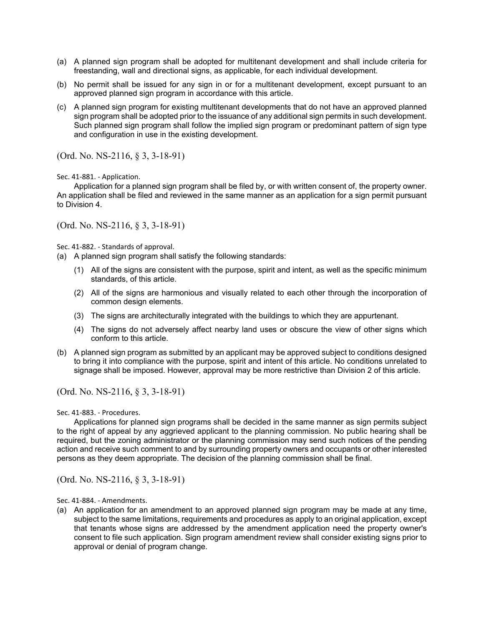- (a) A planned sign program shall be adopted for multitenant development and shall include criteria for freestanding, wall and directional signs, as applicable, for each individual development.
- (b) No permit shall be issued for any sign in or for a multitenant development, except pursuant to an approved planned sign program in accordance with this article.
- (c) A planned sign program for existing multitenant developments that do not have an approved planned sign program shall be adopted prior to the issuance of any additional sign permits in such development. Such planned sign program shall follow the implied sign program or predominant pattern of sign type and configuration in use in the existing development.

(Ord. No. NS-2116, § 3, 3-18-91)

Sec. 41-881. - Application.

Application for a planned sign program shall be filed by, or with written consent of, the property owner. An application shall be filed and reviewed in the same manner as an application for a sign permit pursuant to Division 4.

(Ord. No. NS-2116, § 3, 3-18-91)

Sec. 41-882. - Standards of approval.

(a) A planned sign program shall satisfy the following standards:

- (1) All of the signs are consistent with the purpose, spirit and intent, as well as the specific minimum standards, of this article.
- (2) All of the signs are harmonious and visually related to each other through the incorporation of common design elements.
- (3) The signs are architecturally integrated with the buildings to which they are appurtenant.
- (4) The signs do not adversely affect nearby land uses or obscure the view of other signs which conform to this article.
- (b) A planned sign program as submitted by an applicant may be approved subject to conditions designed to bring it into compliance with the purpose, spirit and intent of this article. No conditions unrelated to signage shall be imposed. However, approval may be more restrictive than Division 2 of this article.

(Ord. No. NS-2116, § 3, 3-18-91)

Sec. 41-883. - Procedures.

Applications for planned sign programs shall be decided in the same manner as sign permits subject to the right of appeal by any aggrieved applicant to the planning commission. No public hearing shall be required, but the zoning administrator or the planning commission may send such notices of the pending action and receive such comment to and by surrounding property owners and occupants or other interested persons as they deem appropriate. The decision of the planning commission shall be final.

(Ord. No. NS-2116, § 3, 3-18-91)

Sec. 41-884. - Amendments.

(a) An application for an amendment to an approved planned sign program may be made at any time, subject to the same limitations, requirements and procedures as apply to an original application, except that tenants whose signs are addressed by the amendment application need the property owner's consent to file such application. Sign program amendment review shall consider existing signs prior to approval or denial of program change.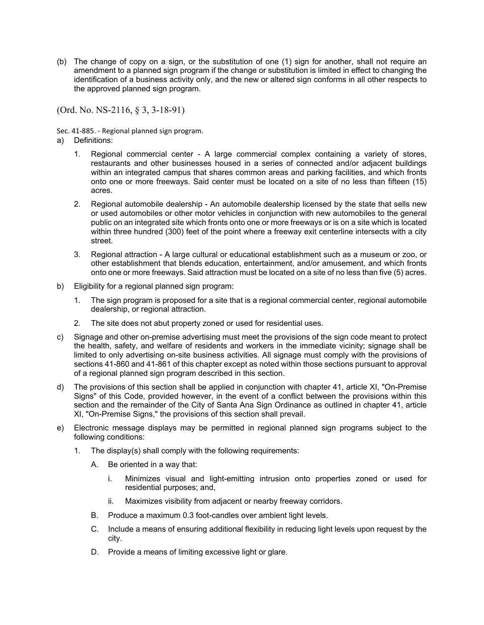(b) The change of copy on a sign, or the substitution of one (1) sign for another, shall not require an amendment to a planned sign program if the change or substitution is limited in effect to changing the identification of a business activity only, and the new or altered sign conforms in all other respects to the approved planned sign program.

(Ord. No. NS-2116, § 3, 3-18-91)

Sec. 41-885. - Regional planned sign program.

- a) Definitions:
	- 1. Regional commercial center A large commercial complex containing a variety of stores, restaurants and other businesses housed in a series of connected and/or adjacent buildings within an integrated campus that shares common areas and parking facilities, and which fronts onto one or more freeways. Said center must be located on a site of no less than fifteen (15) acres.
	- 2. Regional automobile dealership An automobile dealership licensed by the state that sells new or used automobiles or other motor vehicles in conjunction with new automobiles to the general public on an integrated site which fronts onto one or more freeways or is on a site which is located within three hundred (300) feet of the point where a freeway exit centerline intersects with a city street.
	- 3. Regional attraction A large cultural or educational establishment such as a museum or zoo, or other establishment that blends education, entertainment, and/or amusement, and which fronts onto one or more freeways. Said attraction must be located on a site of no less than five (5) acres.
- b) Eligibility for a regional planned sign program:
	- 1. The sign program is proposed for a site that is a regional commercial center, regional automobile dealership, or regional attraction.
	- 2. The site does not abut property zoned or used for residential uses.
- c) Signage and other on-premise advertising must meet the provisions of the sign code meant to protect the health, safety, and welfare of residents and workers in the immediate vicinity; signage shall be limited to only advertising on-site business activities. All signage must comply with the provisions of sections 41-860 and 41-861 of this chapter except as noted within those sections pursuant to approval of a regional planned sign program described in this section.
- d) The provisions of this section shall be applied in conjunction with chapter 41, article XI, "On-Premise Signs" of this Code, provided however, in the event of a conflict between the provisions within this section and the remainder of the City of Santa Ana Sign Ordinance as outlined in chapter 41, article XI, "On-Premise Signs," the provisions of this section shall prevail.
- e) Electronic message displays may be permitted in regional planned sign programs subject to the following conditions:
	- 1. The display(s) shall comply with the following requirements:
		- A. Be oriented in a way that:
			- i. Minimizes visual and light-emitting intrusion onto properties zoned or used for residential purposes; and,
			- ii. Maximizes visibility from adjacent or nearby freeway corridors.
		- B. Produce a maximum 0.3 foot-candles over ambient light levels.
		- C. Include a means of ensuring additional flexibility in reducing light levels upon request by the city.
		- D. Provide a means of limiting excessive light or glare.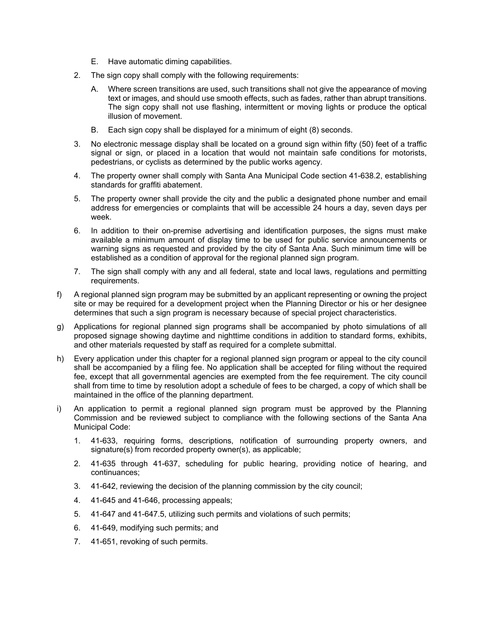- E. Have automatic diming capabilities.
- 2. The sign copy shall comply with the following requirements:
	- A. Where screen transitions are used, such transitions shall not give the appearance of moving text or images, and should use smooth effects, such as fades, rather than abrupt transitions. The sign copy shall not use flashing, intermittent or moving lights or produce the optical illusion of movement.
	- B. Each sign copy shall be displayed for a minimum of eight (8) seconds.
- 3. No electronic message display shall be located on a ground sign within fifty (50) feet of a traffic signal or sign, or placed in a location that would not maintain safe conditions for motorists, pedestrians, or cyclists as determined by the public works agency.
- 4. The property owner shall comply with Santa Ana Municipal Code section 41-638.2, establishing standards for graffiti abatement.
- 5. The property owner shall provide the city and the public a designated phone number and email address for emergencies or complaints that will be accessible 24 hours a day, seven days per week.
- 6. In addition to their on-premise advertising and identification purposes, the signs must make available a minimum amount of display time to be used for public service announcements or warning signs as requested and provided by the city of Santa Ana. Such minimum time will be established as a condition of approval for the regional planned sign program.
- 7. The sign shall comply with any and all federal, state and local laws, regulations and permitting requirements.
- f) A regional planned sign program may be submitted by an applicant representing or owning the project site or may be required for a development project when the Planning Director or his or her designee determines that such a sign program is necessary because of special project characteristics.
- g) Applications for regional planned sign programs shall be accompanied by photo simulations of all proposed signage showing daytime and nighttime conditions in addition to standard forms, exhibits, and other materials requested by staff as required for a complete submittal.
- h) Every application under this chapter for a regional planned sign program or appeal to the city council shall be accompanied by a filing fee. No application shall be accepted for filing without the required fee, except that all governmental agencies are exempted from the fee requirement. The city council shall from time to time by resolution adopt a schedule of fees to be charged, a copy of which shall be maintained in the office of the planning department.
- i) An application to permit a regional planned sign program must be approved by the Planning Commission and be reviewed subject to compliance with the following sections of the Santa Ana Municipal Code:
	- 1. 41-633, requiring forms, descriptions, notification of surrounding property owners, and signature(s) from recorded property owner(s), as applicable;
	- 2. 41-635 through 41-637, scheduling for public hearing, providing notice of hearing, and continuances;
	- 3. 41-642, reviewing the decision of the planning commission by the city council;
	- 4. 41-645 and 41-646, processing appeals;
	- 5. 41-647 and 41-647.5, utilizing such permits and violations of such permits;
	- 6. 41-649, modifying such permits; and
	- 7. 41-651, revoking of such permits.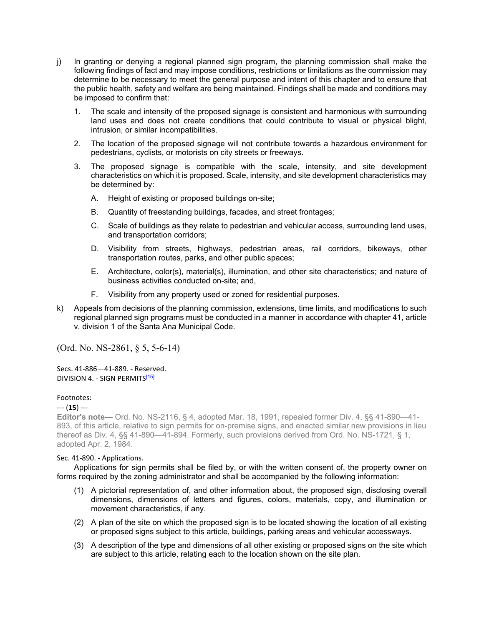- j) In granting or denying a regional planned sign program, the planning commission shall make the following findings of fact and may impose conditions, restrictions or limitations as the commission may determine to be necessary to meet the general purpose and intent of this chapter and to ensure that the public health, safety and welfare are being maintained. Findings shall be made and conditions may be imposed to confirm that:
	- 1. The scale and intensity of the proposed signage is consistent and harmonious with surrounding land uses and does not create conditions that could contribute to visual or physical blight, intrusion, or similar incompatibilities.
	- 2. The location of the proposed signage will not contribute towards a hazardous environment for pedestrians, cyclists, or motorists on city streets or freeways.
	- 3. The proposed signage is compatible with the scale, intensity, and site development characteristics on which it is proposed. Scale, intensity, and site development characteristics may be determined by:
		- A. Height of existing or proposed buildings on-site;
		- B. Quantity of freestanding buildings, facades, and street frontages;
		- C. Scale of buildings as they relate to pedestrian and vehicular access, surrounding land uses, and transportation corridors;
		- D. Visibility from streets, highways, pedestrian areas, rail corridors, bikeways, other transportation routes, parks, and other public spaces;
		- E. Architecture, color(s), material(s), illumination, and other site characteristics; and nature of business activities conducted on-site; and,
		- F. Visibility from any property used or zoned for residential purposes.
- k) Appeals from decisions of the planning commission, extensions, time limits, and modifications to such regional planned sign programs must be conducted in a manner in accordance with chapter 41, article v, division 1 of the Santa Ana Municipal Code.

(Ord. No. NS-2861, § 5, 5-6-14)

Secs. 41-886—41-889. - Reserved. DIVISION 4. - SIGN PERMITS<sup>[15]</sup>

## Footnotes:

### --- (**15**) ---

**Editor's note—** Ord. No. NS-2116, § 4, adopted Mar. 18, 1991, repealed former Div. 4, §§ 41-890—41- 893, of this article, relative to sign permits for on-premise signs, and enacted similar new provisions in lieu thereof as Div. 4, §§ 41-890—41-894. Formerly, such provisions derived from Ord. No. NS-1721, § 1, adopted Apr. 2, 1984.

### Sec. 41-890. - Applications.

Applications for sign permits shall be filed by, or with the written consent of, the property owner on forms required by the zoning administrator and shall be accompanied by the following information:

- (1) A pictorial representation of, and other information about, the proposed sign, disclosing overall dimensions, dimensions of letters and figures, colors, materials, copy, and illumination or movement characteristics, if any.
- (2) A plan of the site on which the proposed sign is to be located showing the location of all existing or proposed signs subject to this article, buildings, parking areas and vehicular accessways.
- (3) A description of the type and dimensions of all other existing or proposed signs on the site which are subject to this article, relating each to the location shown on the site plan.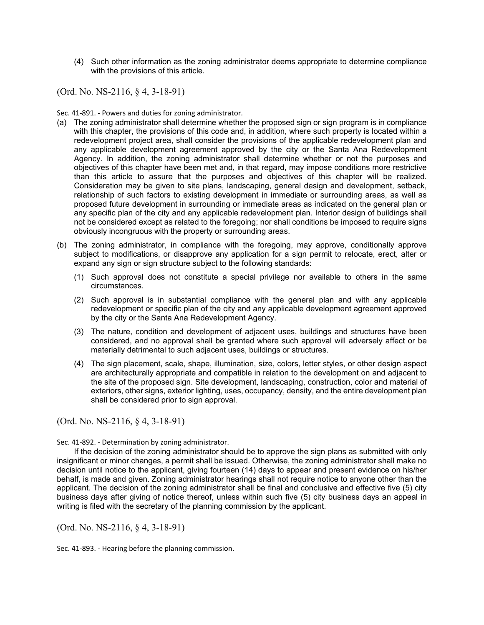(4) Such other information as the zoning administrator deems appropriate to determine compliance with the provisions of this article.

(Ord. No. NS-2116, § 4, 3-18-91)

Sec. 41-891. - Powers and duties for zoning administrator.

- (a) The zoning administrator shall determine whether the proposed sign or sign program is in compliance with this chapter, the provisions of this code and, in addition, where such property is located within a redevelopment project area, shall consider the provisions of the applicable redevelopment plan and any applicable development agreement approved by the city or the Santa Ana Redevelopment Agency. In addition, the zoning administrator shall determine whether or not the purposes and objectives of this chapter have been met and, in that regard, may impose conditions more restrictive than this article to assure that the purposes and objectives of this chapter will be realized. Consideration may be given to site plans, landscaping, general design and development, setback, relationship of such factors to existing development in immediate or surrounding areas, as well as proposed future development in surrounding or immediate areas as indicated on the general plan or any specific plan of the city and any applicable redevelopment plan. Interior design of buildings shall not be considered except as related to the foregoing; nor shall conditions be imposed to require signs obviously incongruous with the property or surrounding areas.
- (b) The zoning administrator, in compliance with the foregoing, may approve, conditionally approve subject to modifications, or disapprove any application for a sign permit to relocate, erect, alter or expand any sign or sign structure subject to the following standards:
	- (1) Such approval does not constitute a special privilege nor available to others in the same circumstances.
	- (2) Such approval is in substantial compliance with the general plan and with any applicable redevelopment or specific plan of the city and any applicable development agreement approved by the city or the Santa Ana Redevelopment Agency.
	- (3) The nature, condition and development of adjacent uses, buildings and structures have been considered, and no approval shall be granted where such approval will adversely affect or be materially detrimental to such adjacent uses, buildings or structures.
	- (4) The sign placement, scale, shape, illumination, size, colors, letter styles, or other design aspect are architecturally appropriate and compatible in relation to the development on and adjacent to the site of the proposed sign. Site development, landscaping, construction, color and material of exteriors, other signs, exterior lighting, uses, occupancy, density, and the entire development plan shall be considered prior to sign approval.

(Ord. No. NS-2116, § 4, 3-18-91)

Sec. 41-892. - Determination by zoning administrator.

If the decision of the zoning administrator should be to approve the sign plans as submitted with only insignificant or minor changes, a permit shall be issued. Otherwise, the zoning administrator shall make no decision until notice to the applicant, giving fourteen (14) days to appear and present evidence on his/her behalf, is made and given. Zoning administrator hearings shall not require notice to anyone other than the applicant. The decision of the zoning administrator shall be final and conclusive and effective five (5) city business days after giving of notice thereof, unless within such five (5) city business days an appeal in writing is filed with the secretary of the planning commission by the applicant.

(Ord. No. NS-2116, § 4, 3-18-91)

Sec. 41-893. - Hearing before the planning commission.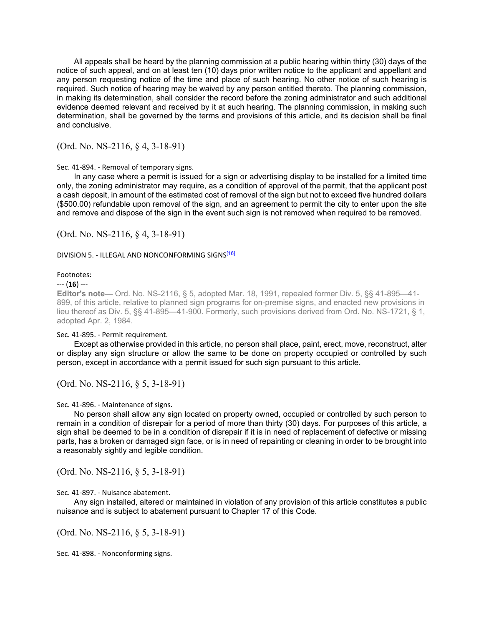All appeals shall be heard by the planning commission at a public hearing within thirty (30) days of the notice of such appeal, and on at least ten (10) days prior written notice to the applicant and appellant and any person requesting notice of the time and place of such hearing. No other notice of such hearing is required. Such notice of hearing may be waived by any person entitled thereto. The planning commission, in making its determination, shall consider the record before the zoning administrator and such additional evidence deemed relevant and received by it at such hearing. The planning commission, in making such determination, shall be governed by the terms and provisions of this article, and its decision shall be final and conclusive.

(Ord. No. NS-2116, § 4, 3-18-91)

## Sec. 41-894. - Removal of temporary signs.

In any case where a permit is issued for a sign or advertising display to be installed for a limited time only, the zoning administrator may require, as a condition of approval of the permit, that the applicant post a cash deposit, in amount of the estimated cost of removal of the sign but not to exceed five hundred dollars (\$500.00) refundable upon removal of the sign, and an agreement to permit the city to enter upon the site and remove and dispose of the sign in the event such sign is not removed when required to be removed.

(Ord. No. NS-2116, § 4, 3-18-91)

## DIVISION 5. - ILLEGAL AND NONCONFORMING SIGNS<sup>[16]</sup>

### Footnotes:

### --- (**16**) ---

**Editor's note—** Ord. No. NS-2116, § 5, adopted Mar. 18, 1991, repealed former Div. 5, §§ 41-895—41- 899, of this article, relative to planned sign programs for on-premise signs, and enacted new provisions in lieu thereof as Div. 5, §§ 41-895—41-900. Formerly, such provisions derived from Ord. No. NS-1721, § 1, adopted Apr. 2, 1984.

## Sec. 41-895. - Permit requirement.

Except as otherwise provided in this article, no person shall place, paint, erect, move, reconstruct, alter or display any sign structure or allow the same to be done on property occupied or controlled by such person, except in accordance with a permit issued for such sign pursuant to this article.

(Ord. No. NS-2116, § 5, 3-18-91)

Sec. 41-896. - Maintenance of signs.

No person shall allow any sign located on property owned, occupied or controlled by such person to remain in a condition of disrepair for a period of more than thirty (30) days. For purposes of this article, a sign shall be deemed to be in a condition of disrepair if it is in need of replacement of defective or missing parts, has a broken or damaged sign face, or is in need of repainting or cleaning in order to be brought into a reasonably sightly and legible condition.

(Ord. No. NS-2116, § 5, 3-18-91)

Sec. 41-897. - Nuisance abatement.

Any sign installed, altered or maintained in violation of any provision of this article constitutes a public nuisance and is subject to abatement pursuant to Chapter 17 of this Code.

(Ord. No. NS-2116, § 5, 3-18-91)

Sec. 41-898. - Nonconforming signs.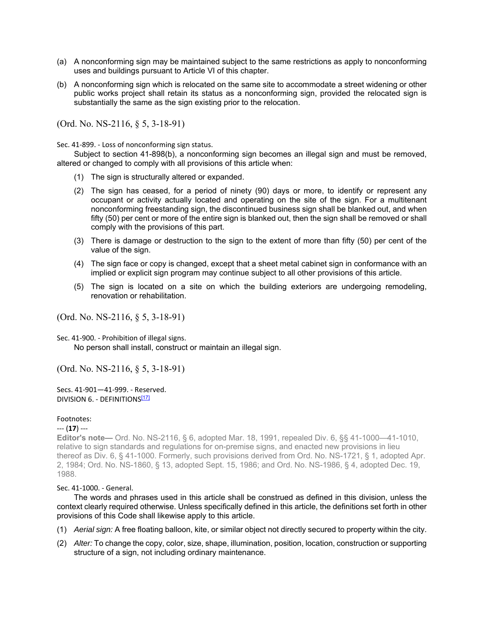- (a) A nonconforming sign may be maintained subject to the same restrictions as apply to nonconforming uses and buildings pursuant to Article VI of this chapter.
- (b) A nonconforming sign which is relocated on the same site to accommodate a street widening or other public works project shall retain its status as a nonconforming sign, provided the relocated sign is substantially the same as the sign existing prior to the relocation.

(Ord. No. NS-2116, § 5, 3-18-91)

Sec. 41-899. - Loss of nonconforming sign status.

Subject to section 41-898(b), a nonconforming sign becomes an illegal sign and must be removed, altered or changed to comply with all provisions of this article when:

- (1) The sign is structurally altered or expanded.
- (2) The sign has ceased, for a period of ninety (90) days or more, to identify or represent any occupant or activity actually located and operating on the site of the sign. For a multitenant nonconforming freestanding sign, the discontinued business sign shall be blanked out, and when fifty (50) per cent or more of the entire sign is blanked out, then the sign shall be removed or shall comply with the provisions of this part.
- (3) There is damage or destruction to the sign to the extent of more than fifty (50) per cent of the value of the sign.
- (4) The sign face or copy is changed, except that a sheet metal cabinet sign in conformance with an implied or explicit sign program may continue subject to all other provisions of this article.
- (5) The sign is located on a site on which the building exteriors are undergoing remodeling, renovation or rehabilitation.

(Ord. No. NS-2116, § 5, 3-18-91)

Sec. 41-900. - Prohibition of illegal signs.

No person shall install, construct or maintain an illegal sign.

(Ord. No. NS-2116, § 5, 3-18-91)

Secs. 41-901—41-999. - Reserved. DIVISION 6. - DEFINITIONS<sup>[17]</sup>

### Footnotes:

### --- (**17**) ---

**Editor's note—** Ord. No. NS-2116, § 6, adopted Mar. 18, 1991, repealed Div. 6, §§ 41-1000—41-1010, relative to sign standards and regulations for on-premise signs, and enacted new provisions in lieu thereof as Div. 6, § 41-1000. Formerly, such provisions derived from Ord. No. NS-1721, § 1, adopted Apr. 2, 1984; Ord. No. NS-1860, § 13, adopted Sept. 15, 1986; and Ord. No. NS-1986, § 4, adopted Dec. 19, 1988.

## Sec. 41-1000. - General.

The words and phrases used in this article shall be construed as defined in this division, unless the context clearly required otherwise. Unless specifically defined in this article, the definitions set forth in other provisions of this Code shall likewise apply to this article.

- (1) *Aerial sign:* A free floating balloon, kite, or similar object not directly secured to property within the city.
- (2) *Alter:* To change the copy, color, size, shape, illumination, position, location, construction or supporting structure of a sign, not including ordinary maintenance.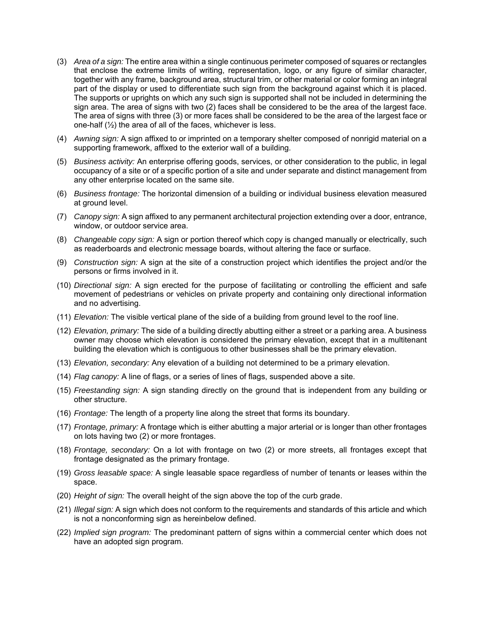- (3) *Area of a sign:* The entire area within a single continuous perimeter composed of squares or rectangles that enclose the extreme limits of writing, representation, logo, or any figure of similar character, together with any frame, background area, structural trim, or other material or color forming an integral part of the display or used to differentiate such sign from the background against which it is placed. The supports or uprights on which any such sign is supported shall not be included in determining the sign area. The area of signs with two (2) faces shall be considered to be the area of the largest face. The area of signs with three (3) or more faces shall be considered to be the area of the largest face or one-half  $(\frac{1}{2})$  the area of all of the faces, whichever is less.
- (4) *Awning sign:* A sign affixed to or imprinted on a temporary shelter composed of nonrigid material on a supporting framework, affixed to the exterior wall of a building.
- (5) *Business activity:* An enterprise offering goods, services, or other consideration to the public, in legal occupancy of a site or of a specific portion of a site and under separate and distinct management from any other enterprise located on the same site.
- (6) *Business frontage:* The horizontal dimension of a building or individual business elevation measured at ground level.
- (7) *Canopy sign:* A sign affixed to any permanent architectural projection extending over a door, entrance, window, or outdoor service area.
- (8) *Changeable copy sign:* A sign or portion thereof which copy is changed manually or electrically, such as readerboards and electronic message boards, without altering the face or surface.
- (9) *Construction sign:* A sign at the site of a construction project which identifies the project and/or the persons or firms involved in it.
- (10) *Directional sign:* A sign erected for the purpose of facilitating or controlling the efficient and safe movement of pedestrians or vehicles on private property and containing only directional information and no advertising.
- (11) *Elevation:* The visible vertical plane of the side of a building from ground level to the roof line.
- (12) *Elevation, primary:* The side of a building directly abutting either a street or a parking area. A business owner may choose which elevation is considered the primary elevation, except that in a multitenant building the elevation which is contiguous to other businesses shall be the primary elevation.
- (13) *Elevation, secondary:* Any elevation of a building not determined to be a primary elevation.
- (14) *Flag canopy:* A line of flags, or a series of lines of flags, suspended above a site.
- (15) *Freestanding sign:* A sign standing directly on the ground that is independent from any building or other structure.
- (16) *Frontage:* The length of a property line along the street that forms its boundary.
- (17) *Frontage, primary:* A frontage which is either abutting a major arterial or is longer than other frontages on lots having two (2) or more frontages.
- (18) *Frontage, secondary:* On a lot with frontage on two (2) or more streets, all frontages except that frontage designated as the primary frontage.
- (19) *Gross leasable space:* A single leasable space regardless of number of tenants or leases within the space.
- (20) *Height of sign:* The overall height of the sign above the top of the curb grade.
- (21) *Illegal sign:* A sign which does not conform to the requirements and standards of this article and which is not a nonconforming sign as hereinbelow defined.
- (22) *Implied sign program:* The predominant pattern of signs within a commercial center which does not have an adopted sign program.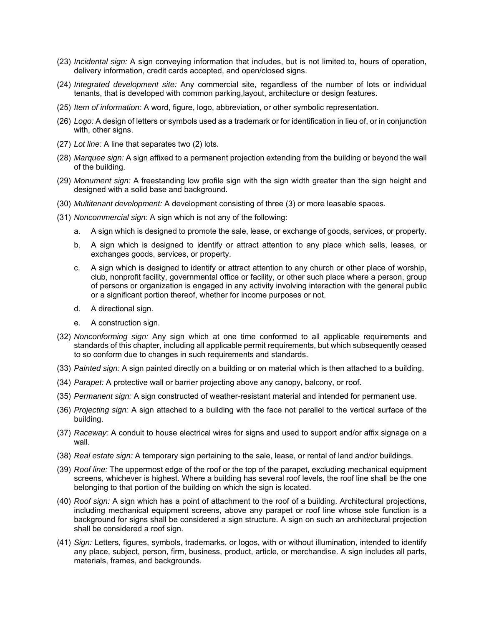- (23) *Incidental sign:* A sign conveying information that includes, but is not limited to, hours of operation, delivery information, credit cards accepted, and open/closed signs.
- (24) *Integrated development site:* Any commercial site, regardless of the number of lots or individual tenants, that is developed with common parking,layout, architecture or design features.
- (25) *Item of information:* A word, figure, logo, abbreviation, or other symbolic representation.
- (26) *Logo:* A design of letters or symbols used as a trademark or for identification in lieu of, or in conjunction with, other signs.
- (27) *Lot line:* A line that separates two (2) lots.
- (28) *Marquee sign:* A sign affixed to a permanent projection extending from the building or beyond the wall of the building.
- (29) *Monument sign:* A freestanding low profile sign with the sign width greater than the sign height and designed with a solid base and background.
- (30) *Multitenant development:* A development consisting of three (3) or more leasable spaces.
- (31) *Noncommercial sign:* A sign which is not any of the following:
	- a. A sign which is designed to promote the sale, lease, or exchange of goods, services, or property.
	- b. A sign which is designed to identify or attract attention to any place which sells, leases, or exchanges goods, services, or property.
	- c. A sign which is designed to identify or attract attention to any church or other place of worship, club, nonprofit facility, governmental office or facility, or other such place where a person, group of persons or organization is engaged in any activity involving interaction with the general public or a significant portion thereof, whether for income purposes or not.
	- d. A directional sign.
	- e. A construction sign.
- (32) *Nonconforming sign:* Any sign which at one time conformed to all applicable requirements and standards of this chapter, including all applicable permit requirements, but which subsequently ceased to so conform due to changes in such requirements and standards.
- (33) *Painted sign:* A sign painted directly on a building or on material which is then attached to a building.
- (34) *Parapet:* A protective wall or barrier projecting above any canopy, balcony, or roof.
- (35) *Permanent sign:* A sign constructed of weather-resistant material and intended for permanent use.
- (36) *Projecting sign:* A sign attached to a building with the face not parallel to the vertical surface of the building.
- (37) *Raceway:* A conduit to house electrical wires for signs and used to support and/or affix signage on a wall.
- (38) *Real estate sign:* A temporary sign pertaining to the sale, lease, or rental of land and/or buildings.
- (39) *Roof line:* The uppermost edge of the roof or the top of the parapet, excluding mechanical equipment screens, whichever is highest. Where a building has several roof levels, the roof line shall be the one belonging to that portion of the building on which the sign is located.
- (40) *Roof sign:* A sign which has a point of attachment to the roof of a building. Architectural projections, including mechanical equipment screens, above any parapet or roof line whose sole function is a background for signs shall be considered a sign structure. A sign on such an architectural projection shall be considered a roof sign.
- (41) *Sign:* Letters, figures, symbols, trademarks, or logos, with or without illumination, intended to identify any place, subject, person, firm, business, product, article, or merchandise. A sign includes all parts, materials, frames, and backgrounds.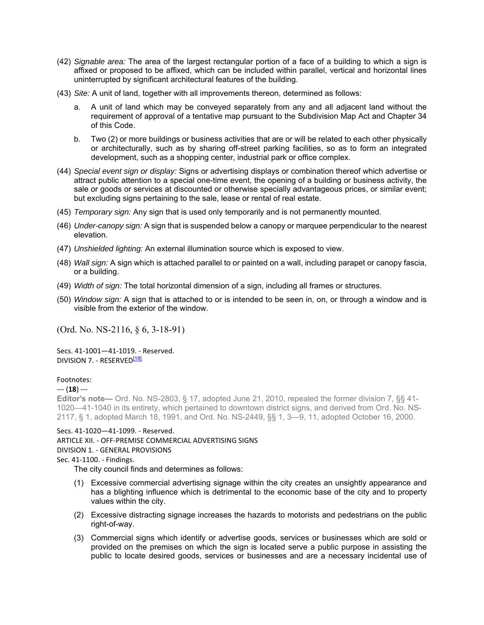- (42) *Signable area:* The area of the largest rectangular portion of a face of a building to which a sign is affixed or proposed to be affixed, which can be included within parallel, vertical and horizontal lines uninterrupted by significant architectural features of the building.
- (43) *Site:* A unit of land, together with all improvements thereon, determined as follows:
	- a. A unit of land which may be conveyed separately from any and all adjacent land without the requirement of approval of a tentative map pursuant to the Subdivision Map Act and Chapter 34 of this Code.
	- b. Two (2) or more buildings or business activities that are or will be related to each other physically or architecturally, such as by sharing off-street parking facilities, so as to form an integrated development, such as a shopping center, industrial park or office complex.
- (44) *Special event sign or display:* Signs or advertising displays or combination thereof which advertise or attract public attention to a special one-time event, the opening of a building or business activity, the sale or goods or services at discounted or otherwise specially advantageous prices, or similar event; but excluding signs pertaining to the sale, lease or rental of real estate.
- (45) *Temporary sign:* Any sign that is used only temporarily and is not permanently mounted.
- (46) *Under-canopy sign:* A sign that is suspended below a canopy or marquee perpendicular to the nearest elevation.
- (47) *Unshielded lighting:* An external illumination source which is exposed to view.
- (48) *Wall sign:* A sign which is attached parallel to or painted on a wall, including parapet or canopy fascia, or a building.
- (49) *Width of sign:* The total horizontal dimension of a sign, including all frames or structures.
- (50) *Window sign:* A sign that is attached to or is intended to be seen in, on, or through a window and is visible from the exterior of the window.

(Ord. No. NS-2116, § 6, 3-18-91)

Secs. 41-1001—41-1019. - Reserved. DIVISION 7. - RESERVED<sup>[18]</sup>

## Footnotes:

### --- (**18**) ---

**Editor's note—** Ord. No. NS-2803, § 17, adopted June 21, 2010, repealed the former division 7, §§ 41- 1020—41-1040 in its entirety, which pertained to downtown district signs, and derived from Ord. No. NS-2117, § 1, adopted March 18, 1991, and Ord. No. NS-2449, §§ 1, 3—9, 11, adopted October 16, 2000.

## Secs. 41-1020—41-1099. - Reserved.

## ARTICLE XII. - OFF-PREMISE COMMERCIAL ADVERTISING SIGNS

### DIVISION 1. - GENERAL PROVISIONS

### Sec. 41-1100. - Findings.

The city council finds and determines as follows:

- (1) Excessive commercial advertising signage within the city creates an unsightly appearance and has a blighting influence which is detrimental to the economic base of the city and to property values within the city.
- (2) Excessive distracting signage increases the hazards to motorists and pedestrians on the public right-of-way.
- (3) Commercial signs which identify or advertise goods, services or businesses which are sold or provided on the premises on which the sign is located serve a public purpose in assisting the public to locate desired goods, services or businesses and are a necessary incidental use of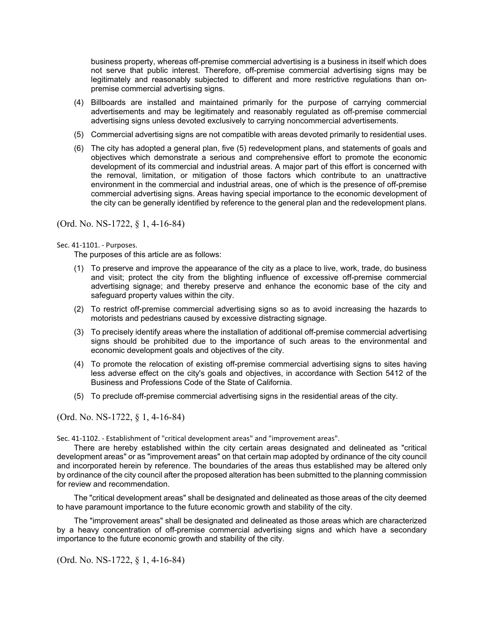business property, whereas off-premise commercial advertising is a business in itself which does not serve that public interest. Therefore, off-premise commercial advertising signs may be legitimately and reasonably subjected to different and more restrictive regulations than onpremise commercial advertising signs.

- (4) Billboards are installed and maintained primarily for the purpose of carrying commercial advertisements and may be legitimately and reasonably regulated as off-premise commercial advertising signs unless devoted exclusively to carrying noncommercial advertisements.
- (5) Commercial advertising signs are not compatible with areas devoted primarily to residential uses.
- (6) The city has adopted a general plan, five (5) redevelopment plans, and statements of goals and objectives which demonstrate a serious and comprehensive effort to promote the economic development of its commercial and industrial areas. A major part of this effort is concerned with the removal, limitation, or mitigation of those factors which contribute to an unattractive environment in the commercial and industrial areas, one of which is the presence of off-premise commercial advertising signs. Areas having special importance to the economic development of the city can be generally identified by reference to the general plan and the redevelopment plans.

# (Ord. No. NS-1722, § 1, 4-16-84)

## Sec. 41-1101. - Purposes.

The purposes of this article are as follows:

- (1) To preserve and improve the appearance of the city as a place to live, work, trade, do business and visit; protect the city from the blighting influence of excessive off-premise commercial advertising signage; and thereby preserve and enhance the economic base of the city and safeguard property values within the city.
- (2) To restrict off-premise commercial advertising signs so as to avoid increasing the hazards to motorists and pedestrians caused by excessive distracting signage.
- (3) To precisely identify areas where the installation of additional off-premise commercial advertising signs should be prohibited due to the importance of such areas to the environmental and economic development goals and objectives of the city.
- (4) To promote the relocation of existing off-premise commercial advertising signs to sites having less adverse effect on the city's goals and objectives, in accordance with Section 5412 of the Business and Professions Code of the State of California.
- (5) To preclude off-premise commercial advertising signs in the residential areas of the city.

(Ord. No. NS-1722, § 1, 4-16-84)

Sec. 41-1102. - Establishment of "critical development areas" and "improvement areas".

There are hereby established within the city certain areas designated and delineated as "critical development areas" or as "improvement areas" on that certain map adopted by ordinance of the city council and incorporated herein by reference. The boundaries of the areas thus established may be altered only by ordinance of the city council after the proposed alteration has been submitted to the planning commission for review and recommendation.

The "critical development areas" shall be designated and delineated as those areas of the city deemed to have paramount importance to the future economic growth and stability of the city.

The "improvement areas" shall be designated and delineated as those areas which are characterized by a heavy concentration of off-premise commercial advertising signs and which have a secondary importance to the future economic growth and stability of the city.

(Ord. No. NS-1722, § 1, 4-16-84)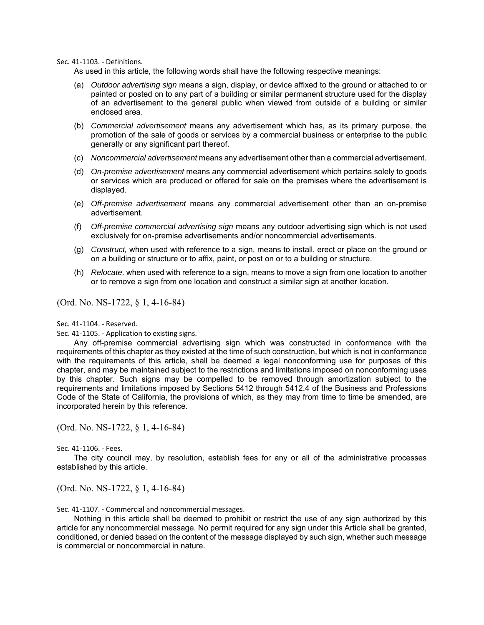Sec. 41-1103. - Definitions.

As used in this article, the following words shall have the following respective meanings:

- (a) *Outdoor advertising sign* means a sign, display, or device affixed to the ground or attached to or painted or posted on to any part of a building or similar permanent structure used for the display of an advertisement to the general public when viewed from outside of a building or similar enclosed area.
- (b) *Commercial advertisement* means any advertisement which has, as its primary purpose, the promotion of the sale of goods or services by a commercial business or enterprise to the public generally or any significant part thereof.
- (c) *Noncommercial advertisement* means any advertisement other than a commercial advertisement.
- (d) *On-premise advertisement* means any commercial advertisement which pertains solely to goods or services which are produced or offered for sale on the premises where the advertisement is displayed.
- (e) *Off-premise advertisement* means any commercial advertisement other than an on-premise advertisement.
- (f) *Off-premise commercial advertising sign* means any outdoor advertising sign which is not used exclusively for on-premise advertisements and/or noncommercial advertisements.
- (g) *Construct,* when used with reference to a sign, means to install, erect or place on the ground or on a building or structure or to affix, paint, or post on or to a building or structure.
- (h) *Relocate,* when used with reference to a sign, means to move a sign from one location to another or to remove a sign from one location and construct a similar sign at another location.

(Ord. No. NS-1722, § 1, 4-16-84)

Sec. 41-1104. - Reserved.

Sec. 41-1105. - Application to existing signs.

Any off-premise commercial advertising sign which was constructed in conformance with the requirements of this chapter as they existed at the time of such construction, but which is not in conformance with the requirements of this article, shall be deemed a legal nonconforming use for purposes of this chapter, and may be maintained subject to the restrictions and limitations imposed on nonconforming uses by this chapter. Such signs may be compelled to be removed through amortization subject to the requirements and limitations imposed by Sections 5412 through 5412.4 of the Business and Professions Code of the State of California, the provisions of which, as they may from time to time be amended, are incorporated herein by this reference.

(Ord. No. NS-1722, § 1, 4-16-84)

### Sec. 41-1106. - Fees.

The city council may, by resolution, establish fees for any or all of the administrative processes established by this article.

(Ord. No. NS-1722, § 1, 4-16-84)

Sec. 41-1107. - Commercial and noncommercial messages.

Nothing in this article shall be deemed to prohibit or restrict the use of any sign authorized by this article for any noncommercial message. No permit required for any sign under this Article shall be granted, conditioned, or denied based on the content of the message displayed by such sign, whether such message is commercial or noncommercial in nature.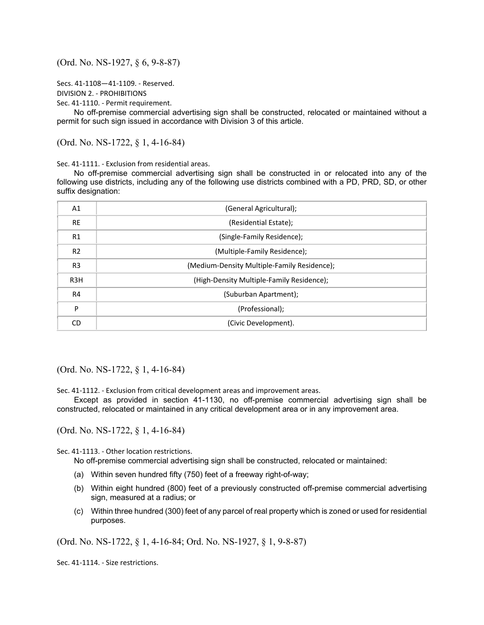(Ord. No. NS-1927, § 6, 9-8-87)

```
Secs. 41-1108—41-1109. - Reserved.
```
DIVISION 2. - PROHIBITIONS

Sec. 41-1110. - Permit requirement.

No off-premise commercial advertising sign shall be constructed, relocated or maintained without a permit for such sign issued in accordance with Division 3 of this article.

(Ord. No. NS-1722, § 1, 4-16-84)

Sec. 41-1111. - Exclusion from residential areas.

No off-premise commercial advertising sign shall be constructed in or relocated into any of the following use districts, including any of the following use districts combined with a PD, PRD, SD, or other suffix designation:

| A1               | (General Agricultural);                     |
|------------------|---------------------------------------------|
| <b>RE</b>        | (Residential Estate);                       |
| R1               | (Single-Family Residence);                  |
| R <sub>2</sub>   | (Multiple-Family Residence);                |
| R <sub>3</sub>   | (Medium-Density Multiple-Family Residence); |
| R <sub>3</sub> H | (High-Density Multiple-Family Residence);   |
| R4               | (Suburban Apartment);                       |
| P                | (Professional);                             |
| CD               | (Civic Development).                        |

(Ord. No. NS-1722, § 1, 4-16-84)

Sec. 41-1112. - Exclusion from critical development areas and improvement areas.

Except as provided in section 41-1130, no off-premise commercial advertising sign shall be constructed, relocated or maintained in any critical development area or in any improvement area.

(Ord. No. NS-1722, § 1, 4-16-84)

Sec. 41-1113. - Other location restrictions.

No off-premise commercial advertising sign shall be constructed, relocated or maintained:

- (a) Within seven hundred fifty (750) feet of a freeway right-of-way;
- (b) Within eight hundred (800) feet of a previously constructed off-premise commercial advertising sign, measured at a radius; or
- (c) Within three hundred (300) feet of any parcel of real property which is zoned or used for residential purposes.

(Ord. No. NS-1722, § 1, 4-16-84; Ord. No. NS-1927, § 1, 9-8-87)

Sec. 41-1114. - Size restrictions.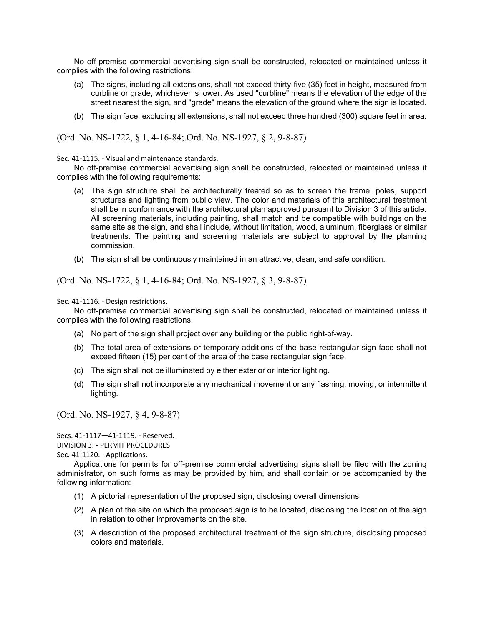No off-premise commercial advertising sign shall be constructed, relocated or maintained unless it complies with the following restrictions:

- (a) The signs, including all extensions, shall not exceed thirty-five (35) feet in height, measured from curbline or grade, whichever is lower. As used "curbline" means the elevation of the edge of the street nearest the sign, and "grade" means the elevation of the ground where the sign is located.
- (b) The sign face, excluding all extensions, shall not exceed three hundred (300) square feet in area.

(Ord. No. NS-1722, § 1, 4-16-84;.Ord. No. NS-1927, § 2, 9-8-87)

Sec. 41-1115. - Visual and maintenance standards.

No off-premise commercial advertising sign shall be constructed, relocated or maintained unless it complies with the following requirements:

- (a) The sign structure shall be architecturally treated so as to screen the frame, poles, support structures and lighting from public view. The color and materials of this architectural treatment shall be in conformance with the architectural plan approved pursuant to Division 3 of this article. All screening materials, including painting, shall match and be compatible with buildings on the same site as the sign, and shall include, without limitation, wood, aluminum, fiberglass or similar treatments. The painting and screening materials are subject to approval by the planning commission.
- (b) The sign shall be continuously maintained in an attractive, clean, and safe condition.

(Ord. No. NS-1722, § 1, 4-16-84; Ord. No. NS-1927, § 3, 9-8-87)

Sec. 41-1116. - Design restrictions.

No off-premise commercial advertising sign shall be constructed, relocated or maintained unless it complies with the following restrictions:

- (a) No part of the sign shall project over any building or the public right-of-way.
- (b) The total area of extensions or temporary additions of the base rectangular sign face shall not exceed fifteen (15) per cent of the area of the base rectangular sign face.
- (c) The sign shall not be illuminated by either exterior or interior lighting.
- (d) The sign shall not incorporate any mechanical movement or any flashing, moving, or intermittent lighting.

(Ord. No. NS-1927, § 4, 9-8-87)

Secs. 41-1117—41-1119. - Reserved.

DIVISION 3. - PERMIT PROCEDURES

Sec. 41-1120. - Applications.

Applications for permits for off-premise commercial advertising signs shall be filed with the zoning administrator, on such forms as may be provided by him, and shall contain or be accompanied by the following information:

- (1) A pictorial representation of the proposed sign, disclosing overall dimensions.
- (2) A plan of the site on which the proposed sign is to be located, disclosing the location of the sign in relation to other improvements on the site.
- (3) A description of the proposed architectural treatment of the sign structure, disclosing proposed colors and materials.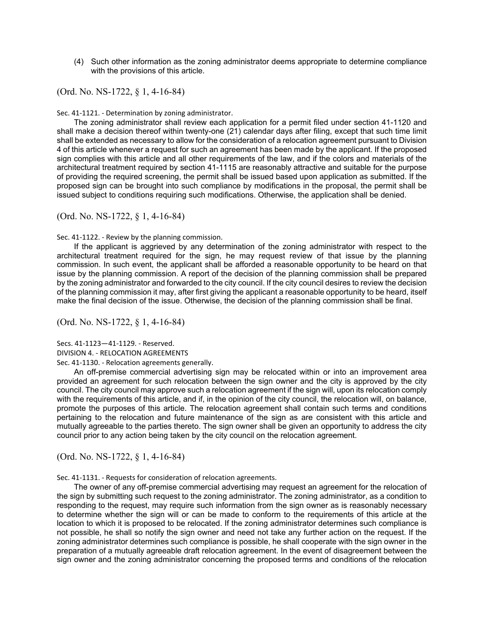(4) Such other information as the zoning administrator deems appropriate to determine compliance with the provisions of this article.

(Ord. No. NS-1722, § 1, 4-16-84)

Sec. 41-1121. - Determination by zoning administrator.

The zoning administrator shall review each application for a permit filed under section 41-1120 and shall make a decision thereof within twenty-one (21) calendar days after filing, except that such time limit shall be extended as necessary to allow for the consideration of a relocation agreement pursuant to Division 4 of this article whenever a request for such an agreement has been made by the applicant. If the proposed sign complies with this article and all other requirements of the law, and if the colors and materials of the architectural treatment required by section 41-1115 are reasonably attractive and suitable for the purpose of providing the required screening, the permit shall be issued based upon application as submitted. If the proposed sign can be brought into such compliance by modifications in the proposal, the permit shall be issued subject to conditions requiring such modifications. Otherwise, the application shall be denied.

(Ord. No. NS-1722, § 1, 4-16-84)

Sec. 41-1122. - Review by the planning commission.

If the applicant is aggrieved by any determination of the zoning administrator with respect to the architectural treatment required for the sign, he may request review of that issue by the planning commission. In such event, the applicant shall be afforded a reasonable opportunity to be heard on that issue by the planning commission. A report of the decision of the planning commission shall be prepared by the zoning administrator and forwarded to the city council. If the city council desires to review the decision of the planning commission it may, after first giving the applicant a reasonable opportunity to be heard, itself make the final decision of the issue. Otherwise, the decision of the planning commission shall be final.

(Ord. No. NS-1722, § 1, 4-16-84)

Secs. 41-1123—41-1129. - Reserved.

DIVISION 4. - RELOCATION AGREEMENTS

Sec. 41-1130. - Relocation agreements generally.

An off-premise commercial advertising sign may be relocated within or into an improvement area provided an agreement for such relocation between the sign owner and the city is approved by the city council. The city council may approve such a relocation agreement if the sign will, upon its relocation comply with the requirements of this article, and if, in the opinion of the city council, the relocation will, on balance, promote the purposes of this article. The relocation agreement shall contain such terms and conditions pertaining to the relocation and future maintenance of the sign as are consistent with this article and mutually agreeable to the parties thereto. The sign owner shall be given an opportunity to address the city council prior to any action being taken by the city council on the relocation agreement.

(Ord. No. NS-1722, § 1, 4-16-84)

Sec. 41-1131. - Requests for consideration of relocation agreements.

The owner of any off-premise commercial advertising may request an agreement for the relocation of the sign by submitting such request to the zoning administrator. The zoning administrator, as a condition to responding to the request, may require such information from the sign owner as is reasonably necessary to determine whether the sign will or can be made to conform to the requirements of this article at the location to which it is proposed to be relocated. If the zoning administrator determines such compliance is not possible, he shall so notify the sign owner and need not take any further action on the request. If the zoning administrator determines such compliance is possible, he shall cooperate with the sign owner in the preparation of a mutually agreeable draft relocation agreement. In the event of disagreement between the sign owner and the zoning administrator concerning the proposed terms and conditions of the relocation